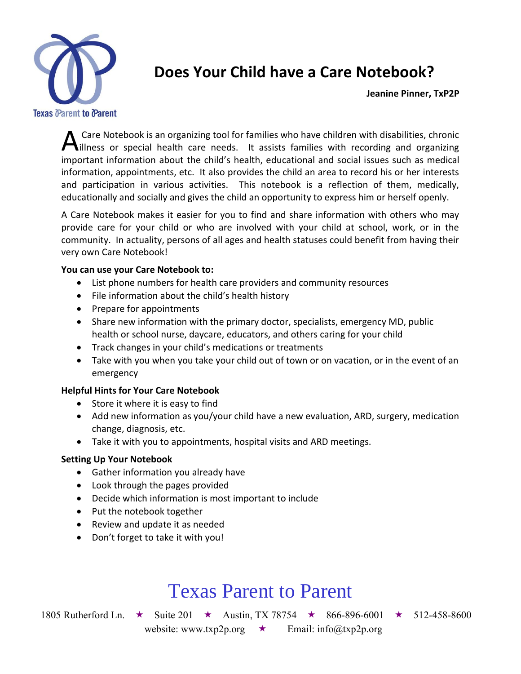

### **Does Your Child have a Care Notebook?**

**Jeanine Pinner, TxP2P** 

 Care Notebook is an organizing tool for families who have children with disabilities, chronic A Care Notebook is an organizing tool for families who have children with disabilities, chronic<br>interests or special health care needs. It assists families with recording and organizing<br>interests informationals with a bild important information about the child's health, educational and social issues such as medical information, appointments, etc. It also provides the child an area to record his or her interests and participation in various activities. This notebook is a reflection of them, medically, educationally and socially and gives the child an opportunity to express him or herself openly.

A Care Notebook makes it easier for you to find and share information with others who may provide care for your child or who are involved with your child at school, work, or in the community. In actuality, persons of all ages and health statuses could benefit from having their very own Care Notebook!

#### **You can use your Care Notebook to:**

- List phone numbers for health care providers and community resources
- File information about the child's health history
- Prepare for appointments
- Share new information with the primary doctor, specialists, emergency MD, public health or school nurse, daycare, educators, and others caring for your child
- Track changes in your child's medications or treatments
- Take with you when you take your child out of town or on vacation, or in the event of an emergency

#### **Helpful Hints for Your Care Notebook**

- Store it where it is easy to find
- Add new information as you/your child have a new evaluation, ARD, surgery, medication change, diagnosis, etc.
- Take it with you to appointments, hospital visits and ARD meetings.

#### **Setting Up Your Notebook**

- Gather information you already have
- Look through the pages provided
- Decide which information is most important to include
- Put the notebook together
- Review and update it as needed
- Don't forget to take it with you!

# Texas Parent to Parent

1805 Rutherford Ln.  $\star$  Suite 201  $\star$  Austin, TX 78754  $\star$  866-896-6001  $\star$  512-458-8600 website: www.txp2p.org  $\star$  Email: info@txp2p.org